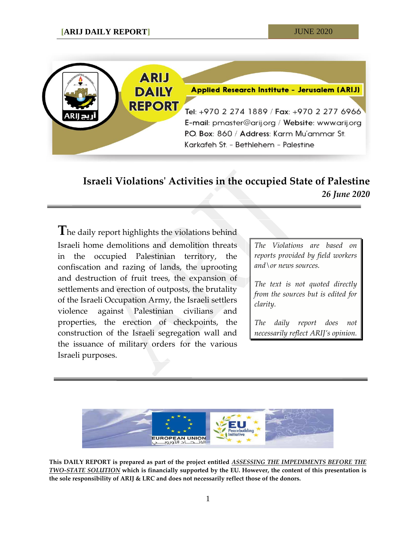

## **Israeli Violations' Activities in the occupied State of Palestine** *26 June 2020*

**T**he daily report highlights the violations behind Israeli home demolitions and demolition threats in the occupied Palestinian territory, the confiscation and razing of lands, the uprooting and destruction of fruit trees, the expansion of settlements and erection of outposts, the brutality of the Israeli Occupation Army, the Israeli settlers violence against Palestinian civilians and properties, the erection of checkpoints, the construction of the Israeli segregation wall and the issuance of military orders for the various Israeli purposes.

*The Violations are based on reports provided by field workers and\or news sources.*

*The text is not quoted directly from the sources but is edited for clarity.*

*The daily report does not necessarily reflect ARIJ's opinion.*



**This DAILY REPORT is prepared as part of the project entitled** *ASSESSING THE IMPEDIMENTS BEFORE THE TWO-STATE SOLUTION* **which is financially supported by the EU. However, the content of this presentation is the sole responsibility of ARIJ & LRC and does not necessarily reflect those of the donors.**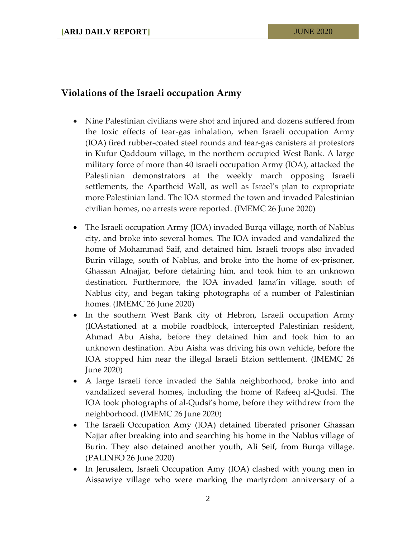## **Violations of the Israeli occupation Army**

- Nine Palestinian civilians were shot and injured and dozens suffered from the toxic effects of tear-gas inhalation, when Israeli occupation Army (IOA) fired rubber-coated steel rounds and tear-gas canisters at protestors in Kufur Qaddoum village, in the northern occupied West Bank. A large military force of more than 40 israeli occupation Army (IOA), attacked the Palestinian demonstrators at the weekly march opposing Israeli settlements, the Apartheid Wall, as well as Israel's plan to expropriate more Palestinian land. The IOA stormed the town and invaded Palestinian civilian homes, no arrests were reported. (IMEMC 26 June 2020)
- The Israeli occupation Army (IOA) invaded Burqa village, north of Nablus city, and broke into several homes. The IOA invaded and vandalized the home of Mohammad Saif, and detained him. Israeli troops also invaded Burin village, south of Nablus, and broke into the home of ex-prisoner, Ghassan Alnajjar, before detaining him, and took him to an unknown destination. Furthermore, the IOA invaded Jama'in village, south of Nablus city, and began taking photographs of a number of Palestinian homes. (IMEMC 26 June 2020)
- In the southern West Bank city of Hebron, Israeli occupation Army (IOAstationed at a mobile roadblock, intercepted Palestinian resident, Ahmad Abu Aisha, before they detained him and took him to an unknown destination. Abu Aisha was driving his own vehicle, before the IOA stopped him near the illegal Israeli Etzion settlement. (IMEMC 26 June 2020)
- A large Israeli force invaded the Sahla neighborhood, broke into and vandalized several homes, including the home of Rafeeq al-Qudsi. The IOA took photographs of al-Qudsi's home, before they withdrew from the neighborhood. (IMEMC 26 June 2020)
- The Israeli Occupation Amy (IOA) detained liberated prisoner Ghassan Najjar after breaking into and searching his home in the Nablus village of Burin. They also detained another youth, Ali Seif, from Burqa village. (PALINFO 26 June 2020)
- In Jerusalem, Israeli Occupation Amy (IOA) clashed with young men in Aissawiye village who were marking the martyrdom anniversary of a